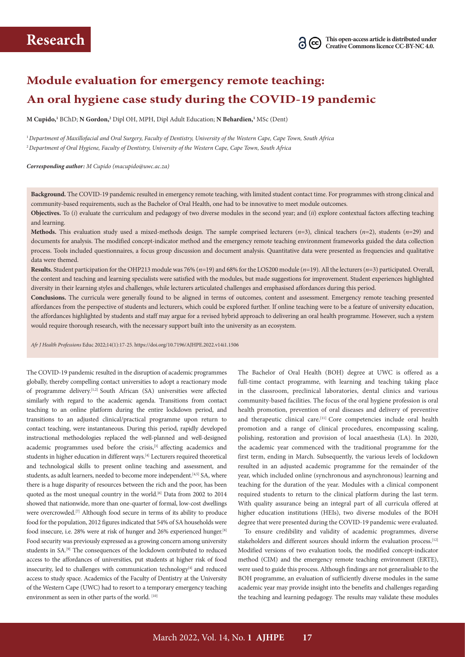# **Module evaluation for emergency remote teaching: An oral hygiene case study during the COVID-19 pandemic**

**M Cupido,1** BChD; **N Gordon,2** Dipl OH, MPH, Dipl Adult Education; **N Behardien,1** MSc (Dent)

<sup>1</sup>*Department of Maxillofacial and Oral Surgery, Faculty of Dentistry, University of the Western Cape, Cape Town, South Africa* <sup>2</sup>*Department of Oral Hygiene, Faculty of Dentistry, University of the Western Cape, Cape Town, South Africa*

*Corresponding author: M Cupido ([macupido@uwc.ac.za](mailto:macupido@uwc.ac.za))*

**Background.** The COVID-19 pandemic resulted in emergency remote teaching, with limited student contact time. For programmes with strong clinical and community-based requirements, such as the Bachelor of Oral Health, one had to be innovative to meet module outcomes.

**Objectives.** To (*i*) evaluate the curriculum and pedagogy of two diverse modules in the second year; and (*ii*) explore contextual factors affecting teaching and learning.

**Methods.** This evaluation study used a mixed-methods design. The sample comprised lecturers  $(n=3)$ , clinical teachers  $(n=2)$ , students  $(n=29)$  and documents for analysis. The modified concept-indicator method and the emergency remote teaching environment frameworks guided the data collection process. Tools included questionnaires, a focus group discussion and document analysis. Quantitative data were presented as frequencies and qualitative data were themed.

**Results.** Student participation for the OHP213 module was 76% (*n*=19) and 68% for the LOS200 module (*n*=19). All the lecturers (*n*=3) participated. Overall, the content and teaching and learning specialists were satisfied with the modules, but made suggestions for improvement. Student experiences highlighted diversity in their learning styles and challenges, while lecturers articulated challenges and emphasised affordances during this period.

**Conclusions.** The curricula were generally found to be aligned in terms of outcomes, content and assessment. Emergency remote teaching presented affordances from the perspective of students and lecturers, which could be explored further. If online teaching were to be a feature of university education, the affordances highlighted by students and staff may argue for a revised hybrid approach to delivering an oral health programme. However, such a system would require thorough research, with the necessary support built into the university as an ecosystem.

*Afr J Health Professions* Educ 2022;14(1):17-25.<https://doi.org/10.7196/AJHPE.2022.v14i1.1506>

The COVID-19 pandemic resulted in the disruption of academic programmes globally, thereby compelling contact universities to adopt a reactionary mode of programme delivery.[1,2] South African (SA) universities were affected similarly with regard to the academic agenda. Transitions from contact teaching to an online platform during the entire lockdown period, and transitions to an adjusted clinical/practical programme upon return to contact teaching, were instantaneous. During this period, rapidly developed instructional methodologies replaced the well-planned and well-designed academic programmes used before the crisis,<sup>[3]</sup> affecting academics and students in higher education in different ways.<sup>[4]</sup> Lecturers required theoretical and technological skills to present online teaching and assessment, and students, as adult learners, needed to become more independent.<sup>[4,5]</sup> SA, where there is a huge disparity of resources between the rich and the poor, has been quoted as the most unequal country in the world.<sup>[6]</sup> Data from 2002 to 2014 showed that nationwide, more than one-quarter of formal, low-cost dwellings were overcrowded.[7] Although food secure in terms of its ability to produce food for the population, 2012 figures indicated that 54% of SA households were food insecure, i.e. 28% were at risk of hunger and 26% experienced hunger.[8] Food security was previously expressed as a growing concern among university students in SA.[9] The consequences of the lockdown contributed to reduced access to the affordances of universities, put students at higher risk of food insecurity, led to challenges with communication technology<sup>[4]</sup> and reduced access to study space. Academics of the Faculty of Dentistry at the University of the Western Cape (UWC) had to resort to a temporary emergency teaching environment as seen in other parts of the world. [10]

The Bachelor of Oral Health (BOH) degree at UWC is offered as a full-time contact programme, with learning and teaching taking place in the classroom, preclinical laboratories, dental clinics and various community-based facilities. The focus of the oral hygiene profession is oral health promotion, prevention of oral diseases and delivery of preventive and therapeutic clinical care.<sup>[11]</sup> Core competencies include oral health promotion and a range of clinical procedures, encompassing scaling, polishing, restoration and provision of local anaesthesia (LA). In 2020, the academic year commenced with the traditional programme for the first term, ending in March. Subsequently, the various levels of lockdown resulted in an adjusted academic programme for the remainder of the year, which included online (synchronous and asynchronous) learning and teaching for the duration of the year. Modules with a clinical component required students to return to the clinical platform during the last term. With quality assurance being an integral part of all curricula offered at higher education institutions (HEIs), two diverse modules of the BOH degree that were presented during the COVID-19 pandemic were evaluated.

To ensure credibility and validity of academic programmes, diverse stakeholders and different sources should inform the evaluation process.<sup>[12]</sup> Modified versions of two evaluation tools, the modified concept-indicator method (CIM) and the emergency remote teaching environment (ERTE), were used to guide this process. Although findings are not generalisable to the BOH programme, an evaluation of sufficiently diverse modules in the same academic year may provide insight into the benefits and challenges regarding the teaching and learning pedagogy. The results may validate these modules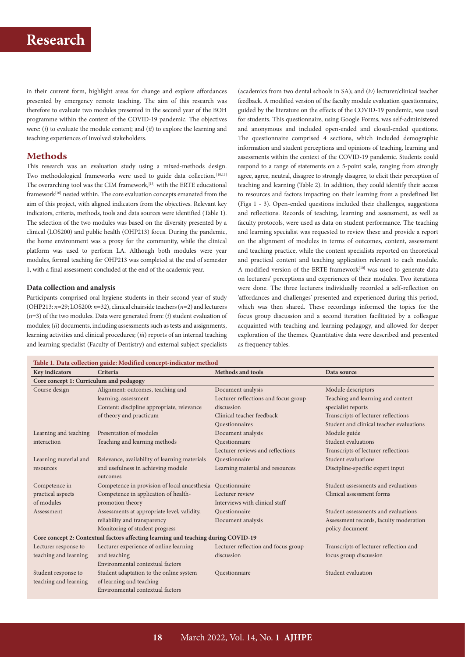in their current form, highlight areas for change and explore affordances presented by emergency remote teaching. The aim of this research was therefore to evaluate two modules presented in the second year of the BOH programme within the context of the COVID-19 pandemic. The objectives were: (*i*) to evaluate the module content; and (*ii*) to explore the learning and teaching experiences of involved stakeholders.

## **Methods**

This research was an evaluation study using a mixed-methods design. Two methodological frameworks were used to guide data collection.<sup>[10,13]</sup> The overarching tool was the CIM framework,<sup>[13]</sup> with the ERTE educational framework<sup>[10]</sup> nested within. The core evaluation concepts emanated from the aim of this project, with aligned indicators from the objectives. Relevant key indicators, criteria, methods, tools and data sources were identified (Table 1). The selection of the two modules was based on the diversity presented by a clinical (LOS200) and public health (OHP213) focus. During the pandemic, the home environment was a proxy for the community, while the clinical platform was used to perform LA. Although both modules were year modules, formal teaching for OHP213 was completed at the end of semester 1, with a final assessment concluded at the end of the academic year.

### **Data collection and analysis**

Participants comprised oral hygiene students in their second year of study (OHP213: *n*=29; LOS200: *n*=32), clinical chairside teachers (*n*=2) and lecturers (*n*=3) of the two modules. Data were generated from: (*i*) student evaluation of modules; (*ii*) documents, including assessments such as tests and assignments, learning activities and clinical procedures; (*iii*) reports of an internal teaching and learning specialist (Faculty of Dentistry) and external subject specialists

(academics from two dental schools in SA); and (*iv*) lecturer/clinical teacher feedback. A modified version of the faculty module evaluation questionnaire, guided by the literature on the effects of the COVID-19 pandemic, was used for students. This questionnaire, using Google Forms, was self-administered and anonymous and included open-ended and closed-ended questions. The questionnaire comprised 4 sections, which included demographic information and student perceptions and opinions of teaching, learning and assessments within the context of the COVID-19 pandemic. Students could respond to a range of statements on a 5-point scale, ranging from strongly agree, agree, neutral, disagree to strongly disagree, to elicit their perception of teaching and learning (Table 2). In addition, they could identify their access to resources and factors impacting on their learning from a predefined list (Figs 1 - 3). Open-ended questions included their challenges, suggestions and reflections. Records of teaching, learning and assessment, as well as faculty protocols, were used as data on student performance. The teaching and learning specialist was requested to review these and provide a report on the alignment of modules in terms of outcomes, content, assessment and teaching practice, while the content specialists reported on theoretical and practical content and teaching application relevant to each module. A modified version of the ERTE framework<sup>[10]</sup> was used to generate data on lecturers' perceptions and experiences of their modules. Two iterations were done. The three lecturers individually recorded a self-reflection on 'affordances and challenges' presented and experienced during this period, which was then shared. These recordings informed the topics for the focus group discussion and a second iteration facilitated by a colleague acquainted with teaching and learning pedagogy, and allowed for deeper exploration of the themes. Quantitative data were described and presented as frequency tables.

| Table 1. Data collection guide: Modified concept-indicator method |                                                                                    |                                      |                                          |  |  |
|-------------------------------------------------------------------|------------------------------------------------------------------------------------|--------------------------------------|------------------------------------------|--|--|
| <b>Key indicators</b>                                             | Criteria                                                                           | <b>Methods and tools</b>             | Data source                              |  |  |
| Core concept 1: Curriculum and pedagogy                           |                                                                                    |                                      |                                          |  |  |
| Course design                                                     | Alignment: outcomes, teaching and                                                  | Document analysis                    | Module descriptors                       |  |  |
|                                                                   | learning, assessment                                                               | Lecturer reflections and focus group | Teaching and learning and content        |  |  |
|                                                                   | Content: discipline appropriate, relevance                                         | discussion                           | specialist reports                       |  |  |
|                                                                   | of theory and practicum                                                            | Clinical teacher feedback            | Transcripts of lecturer reflections      |  |  |
|                                                                   |                                                                                    | Questionnaires                       | Student and clinical teacher evaluations |  |  |
| Learning and teaching                                             | Presentation of modules                                                            | Document analysis                    | Module guide                             |  |  |
| interaction                                                       | Teaching and learning methods                                                      | Questionnaire                        | Student evaluations                      |  |  |
|                                                                   |                                                                                    | Lecturer reviews and reflections     | Transcripts of lecturer reflections      |  |  |
| Learning material and                                             | Relevance, availability of learning materials                                      | Questionnaire                        | Student evaluations                      |  |  |
| resources                                                         | and usefulness in achieving module                                                 | Learning material and resources      | Discipline-specific expert input         |  |  |
|                                                                   | outcomes                                                                           |                                      |                                          |  |  |
| Competence in                                                     | Competence in provision of local anaesthesia                                       | Ouestionnaire                        | Student assessments and evaluations      |  |  |
| practical aspects                                                 | Competence in application of health-                                               | Lecturer review                      | Clinical assessment forms                |  |  |
| of modules                                                        | promotion theory                                                                   | Interviews with clinical staff       |                                          |  |  |
| Assessment                                                        | Assessments at appropriate level, validity,                                        | Questionnaire                        | Student assessments and evaluations      |  |  |
|                                                                   | reliability and transparency                                                       | Document analysis                    | Assessment records, faculty moderation   |  |  |
|                                                                   | Monitoring of student progress                                                     |                                      | policy document                          |  |  |
|                                                                   | Core concept 2: Contextual factors affecting learning and teaching during COVID-19 |                                      |                                          |  |  |
| Lecturer response to                                              | Lecturer experience of online learning                                             | Lecturer reflection and focus group  | Transcripts of lecturer reflection and   |  |  |
| teaching and learning                                             | and teaching                                                                       | discussion                           | focus group discussion                   |  |  |
|                                                                   | Environmental contextual factors                                                   |                                      |                                          |  |  |
| Student response to                                               | Student adaptation to the online system                                            | Questionnaire                        | Student evaluation                       |  |  |
| teaching and learning                                             | of learning and teaching                                                           |                                      |                                          |  |  |
|                                                                   | Environmental contextual factors                                                   |                                      |                                          |  |  |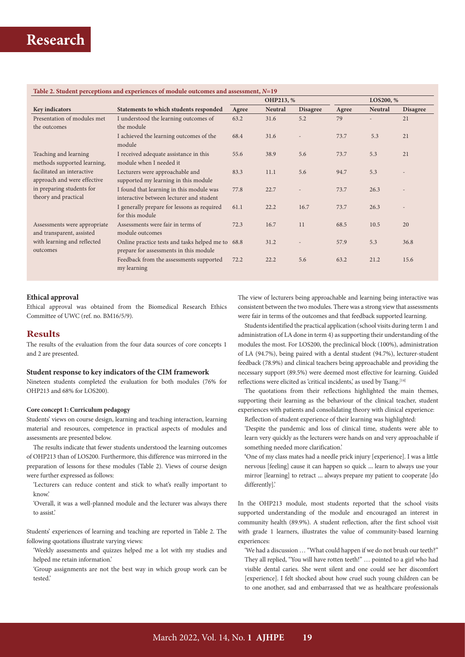|                                                           | Statements to which students responded                                                      | OHP213, % |         | LOS200, %       |       |         |                 |
|-----------------------------------------------------------|---------------------------------------------------------------------------------------------|-----------|---------|-----------------|-------|---------|-----------------|
| Key indicators                                            |                                                                                             | Agree     | Neutral | <b>Disagree</b> | Agree | Neutral | <b>Disagree</b> |
| Presentation of modules met<br>the outcomes               | I understood the learning outcomes of<br>the module                                         | 63.2      | 31.6    | 5.2             | 79    |         | 21              |
|                                                           | I achieved the learning outcomes of the<br>module                                           | 68.4      | 31.6    |                 | 73.7  | 5.3     | 21              |
| Teaching and learning<br>methods supported learning,      | I received adequate assistance in this<br>module when I needed it                           | 55.6      | 38.9    | 5.6             | 73.7  | 5.3     | 21              |
| facilitated an interactive<br>approach and were effective | Lecturers were approachable and<br>supported my learning in this module                     | 83.3      | 11.1    | 5.6             | 94.7  | 5.3     |                 |
| in preparing students for<br>theory and practical         | I found that learning in this module was<br>interactive between lecturer and student        | 77.8      | 22.7    |                 | 73.7  | 26.3    |                 |
|                                                           | I generally prepare for lessons as required<br>for this module                              | 61.1      | 22.2    | 16.7            | 73.7  | 26.3    |                 |
| Assessments were appropriate<br>and transparent, assisted | Assessments were fair in terms of<br>module outcomes                                        | 72.3      | 16.7    | 11              | 68.5  | 10.5    | 20              |
| with learning and reflected<br>outcomes                   | Online practice tests and tasks helped me to 68.8<br>prepare for assessments in this module |           | 31.2    |                 | 57.9  | 5.3     | 36.8            |
|                                                           | Feedback from the assessments supported<br>my learning                                      | 72.2      | 22.2    | 5.6             | 63.2  | 21.2    | 15.6            |

### **Ethical approval**

Ethical approval was obtained from the Biomedical Research Ethics Committee of UWC (ref. no. BM16/5/9).

## **Results**

The results of the evaluation from the four data sources of core concepts 1 and 2 are presented.

### **Student response to key indicators of the CIM framework**

Nineteen students completed the evaluation for both modules (76% for OHP213 and 68% for LOS200).

#### **Core concept 1: Curriculum pedagogy**

Students' views on course design, learning and teaching interaction, learning material and resources, competence in practical aspects of modules and assessments are presented below.

The results indicate that fewer students understood the learning outcomes of OHP213 than of LOS200. Furthermore, this difference was mirrored in the preparation of lessons for these modules (Table 2). Views of course design were further expressed as follows:

'Lecturers can reduce content and stick to what's really important to  $km\alpha w$ 

'Overall, it was a well-planned module and the lecturer was always there to assist.'

Students' experiences of learning and teaching are reported in Table 2. The following quotations illustrate varying views:

'Weekly assessments and quizzes helped me a lot with my studies and helped me retain information.'

'Group assignments are not the best way in which group work can be tested.'

The view of lecturers being approachable and learning being interactive was consistent between the two modules. There was a strong view that assessments were fair in terms of the outcomes and that feedback supported learning.

Students identified the practical application (school visits during term 1 and administration of LA done in term 4) as supporting their understanding of the modules the most. For LOS200, the preclinical block (100%), administration of LA (94.7%), being paired with a dental student (94.7%), lecturer-student feedback (78.9%) and clinical teachers being approachable and providing the necessary support (89.5%) were deemed most effective for learning. Guided reflections were elicited as 'critical incidents' as used by Tsang.<sup>[14]</sup>

The quotations from their reflections highlighted the main themes, supporting their learning as the behaviour of the clinical teacher, student experiences with patients and consolidating theory with clinical experience: Reflection of student experience of their learning was highlighted:

'Despite the pandemic and loss of clinical time, students were able to learn very quickly as the lecturers were hands on and very approachable if something needed more clarification.'

**'**One of my class mates had a needle prick injury [experience]. I was a little nervous [feeling] cause it can happen so quick … learn to always use your mirror [learning] to retract … always prepare my patient to cooperate [do differently].'

In the OHP213 module, most students reported that the school visits supported understanding of the module and encouraged an interest in community health (89.9%). A student reflection, after the first school visit with grade 1 learners, illustrates the value of community-based learning experiences:

'We had a discussion … "What could happen if we do not brush our teeth?" They all replied, "You will have rotten teeth!" … pointed to a girl who had visible dental caries. She went silent and one could see her discomfort [experience]. I felt shocked about how cruel such young children can be to one another, sad and embarrassed that we as healthcare professionals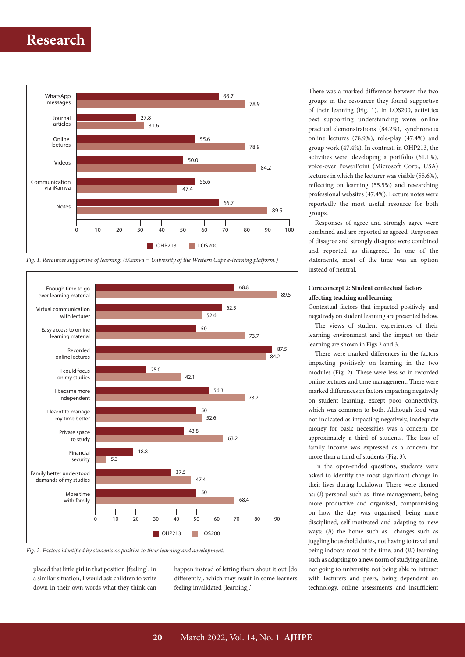

*Fig. 1. Resources supportive of learning. (iKamva = University of the Western Cape e-learning platform.)*



*Fig. 2. Factors identified by students as positive to their learning and development.*

placed that little girl in that position [feeling]. In a similar situation, I would ask children to write down in their own words what they think can

happen instead of letting them shout it out [do differently], which may result in some learners feeling invalidated [learning].'

There was a marked difference between the two groups in the resources they found supportive of their learning (Fig. 1). In LOS200, activities best supporting understanding were: online practical demonstrations (84.2%), synchronous online lectures (78.9%), role-play (47.4%) and group work (47.4%). In contrast, in OHP213, the activities were: developing a portfolio (61.1%), voice-over PowerPoint (Microsoft Corp., USA) lectures in which the lecturer was visible (55.6%), reflecting on learning (55.5%) and researching professional websites (47.4%). Lecture notes were reportedly the most useful resource for both groups.

Responses of agree and strongly agree were combined and are reported as agreed. Responses of disagree and strongly disagree were combined and reported as disagreed. In one of the statements, most of the time was an option instead of neutral.

## **Core concept 2: Student contextual factors affecting teaching and learning**

Contextual factors that impacted positively and negatively on student learning are presented below.

The views of student experiences of their learning environment and the impact on their learning are shown in Figs 2 and 3.

There were marked differences in the factors impacting positively on learning in the two modules (Fig. 2). These were less so in recorded online lectures and time management. There were marked differences in factors impacting negatively on student learning, except poor connectivity, which was common to both. Although food was not indicated as impacting negatively, inadequate money for basic necessities was a concern for approximately a third of students. The loss of family income was expressed as a concern for more than a third of students (Fig. 3).

In the open-ended questions, students were asked to identify the most significant change in their lives during lockdown. These were themed as: (*i*) personal such as time management, being more productive and organised, compromising on how the day was organised, being more disciplined, self-motivated and adapting to new ways; (*ii*) the home such as changes such as juggling household duties, not having to travel and being indoors most of the time; and (*iii*) learning such as adapting to a new norm of studying online, not going to university, not being able to interact with lecturers and peers, being dependent on technology, online assessments and insufficient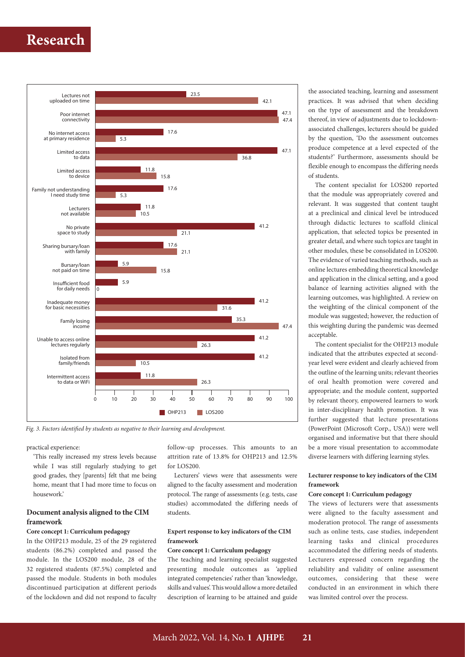

*Fig. 3. Factors identified by students as negative to their learning and development.* 

practical experience:

'This really increased my stress levels because while I was still regularly studying to get good grades, they [parents] felt that me being home, meant that I had more time to focus on housework.'

## **Document analysis aligned to the CIM framework**

#### **Core concept 1: Curriculum pedagogy**

In the OHP213 module, 25 of the 29 registered students (86.2%) completed and passed the module. In the LOS200 module, 28 of the 32 registered students (87.5%) completed and passed the module. Students in both modules discontinued participation at different periods of the lockdown and did not respond to faculty

follow-up processes. This amounts to an attrition rate of 13.8% for OHP213 and 12.5%  $for LOS200$ 

Lecturers' views were that assessments were aligned to the faculty assessment and moderation protocol. The range of assessments (e.g. tests, case studies) accommodated the differing needs of students.

#### **Expert response to key indicators of the CIM framework**

## **Core concept 1: Curriculum pedagogy**

The teaching and learning specialist suggested presenting module outcomes as 'applied integrated competencies' rather than 'knowledge, skills and values'. This would allow a more detailed description of learning to be attained and guide

the associated teaching, learning and assessment practices. It was advised that when deciding on the type of assessment and the breakdown thereof, in view of adjustments due to lockdownassociated challenges, lecturers should be guided by the question, 'Do the assessment outcomes produce competence at a level expected of the students?' Furthermore, assessments should be flexible enough to encompass the differing needs of students.

The content specialist for LOS200 reported that the module was appropriately covered and relevant. It was suggested that content taught at a preclinical and clinical level be introduced through didactic lectures to scaffold clinical application, that selected topics be presented in greater detail, and where such topics are taught in other modules, these be consolidated in LOS200. The evidence of varied teaching methods, such as online lectures embedding theoretical knowledge and application in the clinical setting, and a good balance of learning activities aligned with the learning outcomes, was highlighted. A review on the weighting of the clinical component of the module was suggested; however, the reduction of this weighting during the pandemic was deemed acceptable.

The content specialist for the OHP213 module indicated that the attributes expected at secondyear level were evident and clearly achieved from the outline of the learning units; relevant theories of oral health promotion were covered and appropriate; and the module content, supported by relevant theory, empowered learners to work in inter-disciplinary health promotion. It was further suggested that lecture presentations (PowerPoint (Microsoft Corp., USA)) were well organised and informative but that there should be a more visual presentation to accommodate diverse learners with differing learning styles.

### **Lecturer response to key indicators of the CIM framework**

#### **Core concept 1: Curriculum pedagogy**

The views of lecturers were that assessments were aligned to the faculty assessment and moderation protocol. The range of assessments such as online tests, case studies, independent learning tasks and clinical procedures accommodated the differing needs of students. Lecturers expressed concern regarding the reliability and validity of online assessment outcomes, considering that these were conducted in an environment in which there was limited control over the process.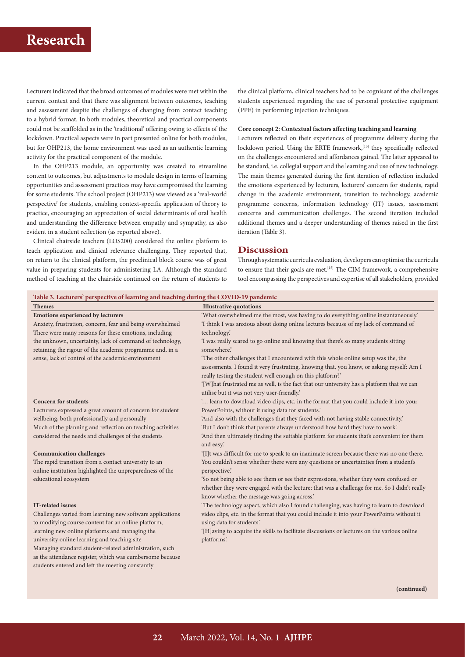Lecturers indicated that the broad outcomes of modules were met within the current context and that there was alignment between outcomes, teaching and assessment despite the challenges of changing from contact teaching to a hybrid format. In both modules, theoretical and practical components could not be scaffolded as in the 'traditional' offering owing to effects of the lockdown. Practical aspects were in part presented online for both modules, but for OHP213, the home environment was used as an authentic learning activity for the practical component of the module.

In the OHP213 module, an opportunity was created to streamline content to outcomes, but adjustments to module design in terms of learning opportunities and assessment practices may have compromised the learning for some students. The school project (OHP213) was viewed as a 'real-world perspective' for students, enabling context-specific application of theory to practice, encouraging an appreciation of social determinants of oral health and understanding the difference between empathy and sympathy, as also evident in a student reflection (as reported above).

Clinical chairside teachers (LOS200) considered the online platform to teach application and clinical relevance challenging. They reported that, on return to the clinical platform, the preclinical block course was of great value in preparing students for administering LA. Although the standard method of teaching at the chairside continued on the return of students to

the clinical platform, clinical teachers had to be cognisant of the challenges students experienced regarding the use of personal protective equipment (PPE) in performing injection techniques.

#### **Core concept 2: Contextual factors affecting teaching and learning**

Lecturers reflected on their experiences of programme delivery during the lockdown period. Using the ERTE framework,<sup>[10]</sup> they specifically reflected on the challenges encountered and affordances gained. The latter appeared to be standard, i.e. collegial support and the learning and use of new technology. The main themes generated during the first iteration of reflection included the emotions experienced by lecturers, lecturers' concern for students, rapid change in the academic environment, transition to technology, academic programme concerns, information technology (IT) issues, assessment concerns and communication challenges. The second iteration included additional themes and a deeper understanding of themes raised in the first iteration (Table 3).

### **Discussion**

Through systematic curricula evaluation, developers can optimise the curricula to ensure that their goals are met.<sup>[15]</sup> The CIM framework, a comprehensive tool encompassing the perspectives and expertise of all stakeholders, provided

| <b>Themes</b>                                                                                                    | <b>Illustrative quotations</b>                                                                                                                        |
|------------------------------------------------------------------------------------------------------------------|-------------------------------------------------------------------------------------------------------------------------------------------------------|
| <b>Emotions experienced by lecturers</b>                                                                         | 'What overwhelmed me the most, was having to do everything online instantaneously'.                                                                   |
| Anxiety, frustration, concern, fear and being overwhelmed                                                        | 'I think I was anxious about doing online lectures because of my lack of command of                                                                   |
| There were many reasons for these emotions, including                                                            | technology.                                                                                                                                           |
| the unknown, uncertainty, lack of command of technology,                                                         | 'I was really scared to go online and knowing that there's so many students sitting                                                                   |
| retaining the rigour of the academic programme and, in a                                                         | somewhere.'                                                                                                                                           |
| sense, lack of control of the academic environment                                                               | 'The other challenges that I encountered with this whole online setup was the, the                                                                    |
|                                                                                                                  | assessments. I found it very frustrating, knowing that, you know, or asking myself: Am I<br>really testing the student well enough on this platform?' |
|                                                                                                                  | '[W]hat frustrated me as well, is the fact that our university has a platform that we can                                                             |
|                                                                                                                  | utilise but it was not very user-friendly?                                                                                                            |
| <b>Concern for students</b>                                                                                      | ' learn to download video clips, etc. in the format that you could include it into your                                                               |
| Lecturers expressed a great amount of concern for student                                                        | PowerPoints, without it using data for students.'                                                                                                     |
| wellbeing, both professionally and personally                                                                    | 'And also with the challenges that they faced with not having stable connectivity.'                                                                   |
| Much of the planning and reflection on teaching activities                                                       | 'But I don't think that parents always understood how hard they have to work.'                                                                        |
| considered the needs and challenges of the students                                                              | 'And then ultimately finding the suitable platform for students that's convenient for them<br>and easy.                                               |
| <b>Communication challenges</b>                                                                                  | '[I]t was difficult for me to speak to an inanimate screen because there was no one there.                                                            |
| The rapid transition from a contact university to an<br>online institution highlighted the unpreparedness of the | You couldn't sense whether there were any questions or uncertainties from a student's<br>perspective.'                                                |
| educational ecosystem                                                                                            | 'So not being able to see them or see their expressions, whether they were confused or                                                                |
|                                                                                                                  | whether they were engaged with the lecture; that was a challenge for me. So I didn't really<br>know whether the message was going across.'            |
| <b>IT-related issues</b>                                                                                         | 'The technology aspect, which also I found challenging, was having to learn to download                                                               |
| Challenges varied from learning new software applications                                                        | video clips, etc. in the format that you could include it into your PowerPoints without it                                                            |
| to modifying course content for an online platform,                                                              | using data for students.'                                                                                                                             |
| learning new online platforms and managing the                                                                   | '[H]aving to acquire the skills to facilitate discussions or lectures on the various online                                                           |
| university online learning and teaching site                                                                     | platforms.'                                                                                                                                           |
| Managing standard student-related administration, such                                                           |                                                                                                                                                       |
| as the attendance register, which was cumbersome because                                                         |                                                                                                                                                       |
| students entered and left the meeting constantly                                                                 |                                                                                                                                                       |
|                                                                                                                  |                                                                                                                                                       |

### **Table 3. Lecturers' perspective of learning and teaching during the COVID-19 pandemic**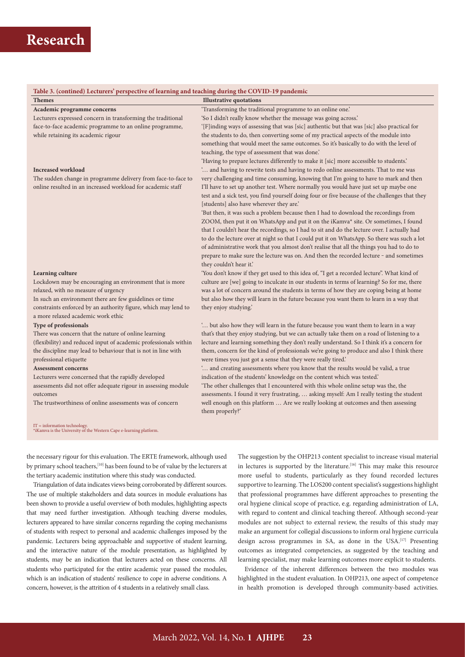## **Table 3. (contined) Lecturers' perspective of learning and teaching during the COVID-19 pandemic**

| rable of (common) necessary perspective of fearlings and teaching author are $\infty$ ( in To pandemic<br><b>Themes</b> | <b>Illustrative quotations</b>                                                                 |
|-------------------------------------------------------------------------------------------------------------------------|------------------------------------------------------------------------------------------------|
| Academic programme concerns                                                                                             | 'Transforming the traditional programme to an online one.'                                     |
| Lecturers expressed concern in transforming the traditional                                                             | 'So I didn't really know whether the message was going across.'                                |
| face-to-face academic programme to an online programme,                                                                 | '[F]inding ways of assessing that was [sic] authentic but that was [sic] also practical for    |
| while retaining its academic rigour                                                                                     | the students to do, then converting some of my practical aspects of the module into            |
|                                                                                                                         | something that would meet the same outcomes. So it's basically to do with the level of         |
|                                                                                                                         | teaching, the type of assessment that was done.'                                               |
|                                                                                                                         | 'Having to prepare lectures differently to make it [sic] more accessible to students.'         |
| <b>Increased workload</b>                                                                                               | ' and having to rewrite tests and having to redo online assessments. That to me was            |
| The sudden change in programme delivery from face-to-face to                                                            | very challenging and time consuming, knowing that I'm going to have to mark and then           |
| online resulted in an increased workload for academic staff                                                             | I'll have to set up another test. Where normally you would have just set up maybe one          |
|                                                                                                                         | test and a sick test, you find yourself doing four or five because of the challenges that they |
|                                                                                                                         | [students] also have wherever they are.'                                                       |
|                                                                                                                         | 'But then, it was such a problem because then I had to download the recordings from            |
|                                                                                                                         | ZOOM, then put it on WhatsApp and put it on the iKamva* site. Or sometimes, I found            |
|                                                                                                                         | that I couldn't hear the recordings, so I had to sit and do the lecture over. I actually had   |
|                                                                                                                         | to do the lecture over at night so that I could put it on WhatsApp. So there was such a lot    |
|                                                                                                                         | of administrative work that you almost don't realise that all the things you had to do to      |
|                                                                                                                         | prepare to make sure the lecture was on. And then the recorded lecture - and sometimes         |
|                                                                                                                         | they couldn't hear it.'                                                                        |
| Learning culture                                                                                                        | 'You don't know if they get used to this idea of, "I get a recorded lecture". What kind of     |
| Lockdown may be encouraging an environment that is more                                                                 | culture are [we] going to inculcate in our students in terms of learning? So for me, there     |
| relaxed, with no measure of urgency                                                                                     | was a lot of concern around the students in terms of how they are coping being at home         |
| In such an environment there are few guidelines or time                                                                 | but also how they will learn in the future because you want them to learn in a way that        |
| constraints enforced by an authority figure, which may lend to                                                          | they enjoy studying.                                                                           |
| a more relaxed academic work ethic                                                                                      |                                                                                                |
| Type of professionals                                                                                                   | ' but also how they will learn in the future because you want them to learn in a way           |
| There was concern that the nature of online learning                                                                    | that's that they enjoy studying, but we can actually take them on a road of listening to a     |
| (flexibility) and reduced input of academic professionals within                                                        | lecture and learning something they don't really understand. So I think it's a concern for     |
| the discipline may lead to behaviour that is not in line with                                                           | them, concern for the kind of professionals we're going to produce and also I think there      |
| professional etiquette                                                                                                  | were times you just got a sense that they were really tired.'                                  |
| <b>Assessment concerns</b>                                                                                              | ' and creating assessments where you know that the results would be valid, a true              |
| Lecturers were concerned that the rapidly developed                                                                     | indication of the students' knowledge on the content which was tested.'                        |
| assessments did not offer adequate rigour in assessing module                                                           | 'The other challenges that I encountered with this whole online setup was the, the             |
| outcomes                                                                                                                | assessments. I found it very frustrating,  asking myself: Am I really testing the student      |
| The trustworthiness of online assessments was of concern                                                                | well enough on this platform  Are we really looking at outcomes and then assessing             |
|                                                                                                                         | them properly?'                                                                                |
| $IT = information technology.$<br>*<br>iKamva is the University of the Western Cape e-learning platform.                |                                                                                                |

the necessary rigour for this evaluation. The ERTE framework, although used by primary school teachers,<sup>[10]</sup> has been found to be of value by the lecturers at the tertiary academic institution where this study was conducted.

Triangulation of data indicates views being corroborated by different sources. The use of multiple stakeholders and data sources in module evaluations has been shown to provide a useful overview of both modules, highlighting aspects that may need further investigation. Although teaching diverse modules, lecturers appeared to have similar concerns regarding the coping mechanisms of students with respect to personal and academic challenges imposed by the pandemic. Lecturers being approachable and supportive of student learning, and the interactive nature of the module presentation, as highlighted by students, may be an indication that lecturers acted on these concerns. All students who participated for the entire academic year passed the modules, which is an indication of students' resilience to cope in adverse conditions. A concern, however, is the attrition of 4 students in a relatively small class.

The suggestion by the OHP213 content specialist to increase visual material in lectures is supported by the literature.<sup>[16]</sup> This may make this resource more useful to students, particularly as they found recorded lectures supportive to learning. The LOS200 content specialist's suggestions highlight that professional programmes have different approaches to presenting the oral hygiene clinical scope of practice, e.g. regarding administration of LA, with regard to content and clinical teaching thereof. Although second-year modules are not subject to external review, the results of this study may make an argument for collegial discussions to inform oral hygiene curricula design across programmes in SA, as done in the USA.<sup>[17]</sup> Presenting outcomes as integrated competencies, as suggested by the teaching and learning specialist, may make learning outcomes more explicit to students.

Evidence of the inherent differences between the two modules was highlighted in the student evaluation. In OHP213, one aspect of competence in health promotion is developed through community-based activities.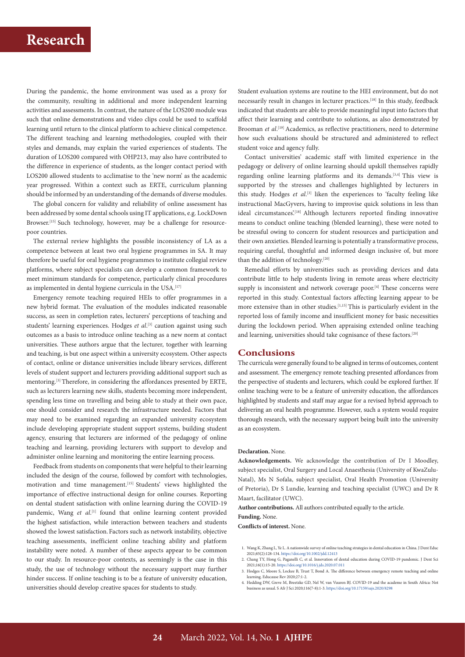During the pandemic, the home environment was used as a proxy for the community, resulting in additional and more independent learning activities and assessments. In contrast, the nature of the LOS200 module was such that online demonstrations and video clips could be used to scaffold learning until return to the clinical platform to achieve clinical competence. The different teaching and learning methodologies, coupled with their styles and demands, may explain the varied experiences of students. The duration of LOS200 compared with OHP213, may also have contributed to the difference in experience of students, as the longer contact period with LOS200 allowed students to acclimatise to the 'new norm' as the academic year progressed. Within a context such as ERTE, curriculum planning should be informed by an understanding of the demands of diverse modules.

The global concern for validity and reliability of online assessment has been addressed by some dental schools using IT applications, e.g. LockDown Browser.<sup>[15]</sup> Such technology, however, may be a challenge for resourcepoor countries.

The external review highlights the possible inconsistency of LA as a competence between at least two oral hygiene programmes in SA. It may therefore be useful for oral hygiene programmes to institute collegial review platforms, where subject specialists can develop a common framework to meet minimum standards for competence, particularly clinical procedures as implemented in dental hygiene curricula in the USA.<sup>[17]</sup>

Emergency remote teaching required HEIs to offer programmes in a new hybrid format. The evaluation of the modules indicated reasonable success, as seen in completion rates, lecturers' perceptions of teaching and students' learning experiences. Hodges *et al*. [3] caution against using such outcomes as a basis to introduce online teaching as a new norm at contact universities. These authors argue that the lecturer, together with learning and teaching, is but one aspect within a university ecosystem. Other aspects of contact, online or distance universities include library services, different levels of student support and lecturers providing additional support such as mentoring.[3] Therefore, in considering the affordances presented by ERTE, such as lecturers learning new skills, students becoming more independent, spending less time on travelling and being able to study at their own pace, one should consider and research the infrastructure needed. Factors that may need to be examined regarding an expanded university ecosystem include developing appropriate student support systems, building student agency, ensuring that lecturers are informed of the pedagogy of online teaching and learning, providing lecturers with support to develop and administer online learning and monitoring the entire learning process.

Feedback from students on components that were helpful to their learning included the design of the course, followed by comfort with technologies, motivation and time management.[15] Students' views highlighted the importance of effective instructional design for online courses. Reporting on dental student satisfaction with online learning during the COVID-19 pandemic, Wang et al.<sup>[1]</sup> found that online learning content provided the highest satisfaction, while interaction between teachers and students showed the lowest satisfaction. Factors such as network instability, objective teaching assessments, inefficient online teaching ability and platform instability were noted. A number of these aspects appear to be common to our study. In resource-poor contexts, as seemingly is the case in this study, the use of technology without the necessary support may further hinder success. If online teaching is to be a feature of university education, universities should develop creative spaces for students to study.

Student evaluation systems are routine to the HEI environment, but do not necessarily result in changes in lecturer practices.[18] In this study, feedback indicated that students are able to provide meaningful input into factors that affect their learning and contribute to solutions, as also demonstrated by Brooman *et al.*<sup>[19]</sup> Academics, as reflective practitioners, need to determine how such evaluations should be structured and administered to reflect student voice and agency fully.

Contact universities' academic staff with limited experience in the pedagogy or delivery of online learning should upskill themselves rapidly regarding online learning platforms and its demands.[3,4] This view is supported by the stresses and challenges highlighted by lecturers in this study. Hodges *et al.*<sup>[3]</sup> liken the experiences to 'faculty feeling like instructional MacGyvers, having to improvise quick solutions in less than ideal circumstances'.<sup>[18]</sup> Although lecturers reported finding innovative means to conduct online teaching (blended learning), these were noted to be stressful owing to concern for student resources and participation and their own anxieties. Blended learning is potentially a transformative process, requiring careful, thoughtful and informed design inclusive of, but more than the addition of technology.<sup>[20]</sup>

Remedial efforts by universities such as providing devices and data contribute little to help students living in remote areas where electricity supply is inconsistent and network coverage poor.<sup>[4]</sup> These concerns were reported in this study. Contextual factors affecting learning appear to be more extensive than in other studies.[1,15] This is particularly evident in the reported loss of family income and insufficient money for basic necessities during the lockdown period. When appraising extended online teaching and learning, universities should take cognisance of these factors.<sup>[20]</sup>

### **Conclusions**

The curricula were generally found to be aligned in terms of outcomes, content and assessment. The emergency remote teaching presented affordances from the perspective of students and lecturers, which could be explored further. If online teaching were to be a feature of university education, the affordances highlighted by students and staff may argue for a revised hybrid approach to delivering an oral health programme. However, such a system would require thorough research, with the necessary support being built into the university as an ecosystem.

#### **Declaration.** None.

**Acknowledgements.** We acknowledge the contribution of Dr I Moodley, subject specialist, Oral Surgery and Local Anaesthesia (University of KwaZulu-Natal), Ms N Sofala, subject specialist, Oral Health Promotion (University of Pretoria), Dr S Lundie, learning and teaching specialist (UWC) and Dr R Maart, facilitator (UWC).

**Author contributions.** All authors contributed equally to the article.

#### **Funding.** None.

**Conflicts of interest.** None.

- 1. Wang K, Zhang L, Ye L. A nationwide survey of online teaching strategies in dental education in China. J Dent Educ 2021;85(2):128-134.<https://doi.org/10.1002/jdd.12413>
- 2. Chang TY, Hong G, Paganelli C, et al. Innovation of dental education during COVID-19 pandemic. J Dent Sci 2021;16(1):15-20. <https://doi.org/10.1016/j.jds.2020.07.011>
- 3. Hodges C, Moore S, Lockee B, Trust T, Bond A. The difference between emergency remote teaching and online learning. Educause Rev 2020;27:1-2.
- 4. Hedding DW, Greve M, Breetzke GD, Nel W, van Vuuren BJ. COVID-19 and the academe in South Africa: Not business as usual. S Afr J Sci 2020;116(7-8):1-3.<https://doi.org/10.17159/sajs.2020/8298>